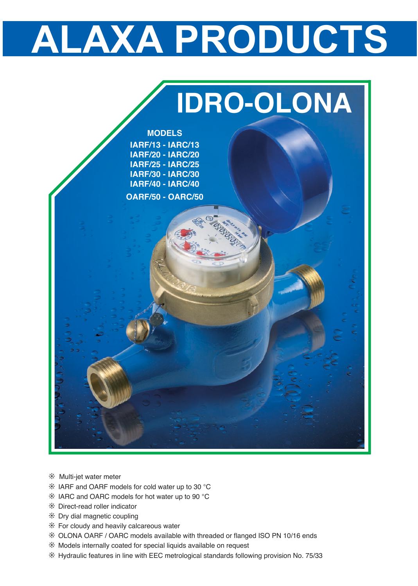## **ALAXA PRODUCTS**



- ❊ Multi-jet water meter
- ❊ IARF and OARF models for cold water up to 30 °<sup>C</sup>
- ❊ IARC and OARC models for hot water up to 90 °<sup>C</sup>
- ❊ Direct-read roller indicator
- ❊ Dry dial magnetic coupling
- ❊ For cloudy and heavily calcareous water
- ❊ OLONA OARF / OARC models available with threaded or flanged ISO PN 10/16 ends
- ❊ Models internally coated for special liquids available on request
- ❊ Hydraulic features in line with EEC metrological standards following provision No. 75/33